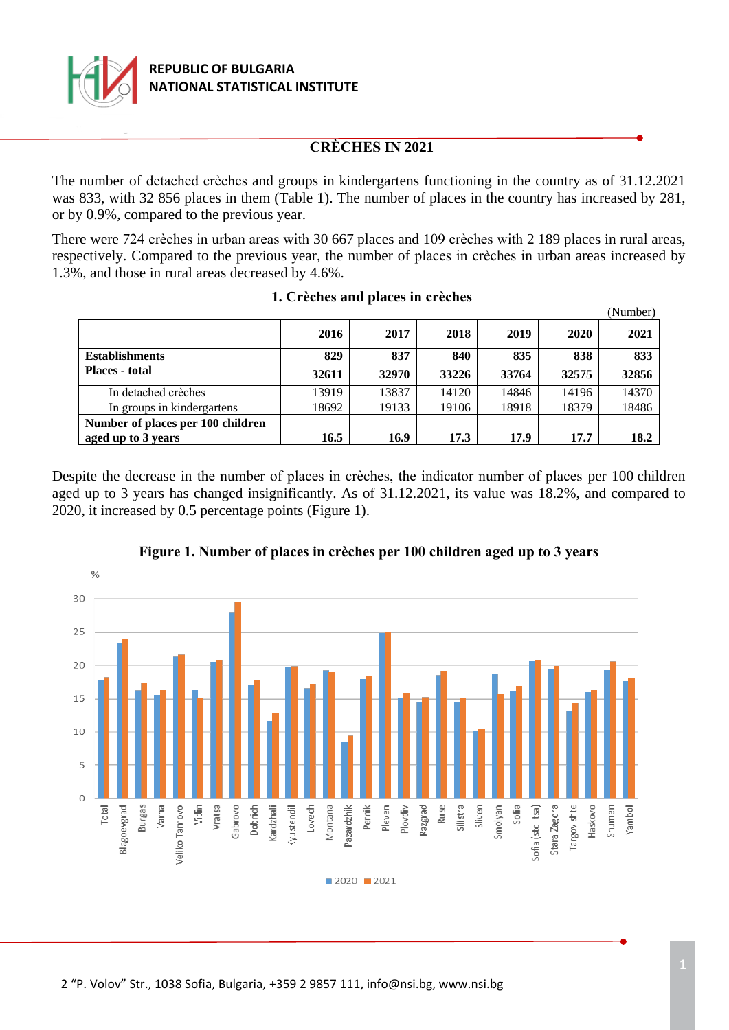

# **CRÈCHES IN 2021**

The number of detached crèches and groups in kindergartens functioning in the country as of 31.12.2021 was 833, with 32 856 places in them (Table 1). The number of places in the country has increased by 281, or by 0.9%, compared to the previous year.

There were 724 crèches in urban areas with 30 667 places and 109 crèches with 2 189 places in rural areas, respectively. Compared to the previous year, the number of places in crèches in urban areas increased by 1.3%, and those in rural areas decreased by 4.6%.

|                                                         |       |       |       |       |       | (Number) |
|---------------------------------------------------------|-------|-------|-------|-------|-------|----------|
|                                                         | 2016  | 2017  | 2018  | 2019  | 2020  | 2021     |
| <b>Establishments</b>                                   | 829   | 837   | 840   | 835   | 838   | 833      |
| <b>Places</b> - total                                   | 32611 | 32970 | 33226 | 33764 | 32575 | 32856    |
| In detached crèches                                     | 13919 | 13837 | 14120 | 14846 | 14196 | 14370    |
| In groups in kindergartens                              | 18692 | 19133 | 19106 | 18918 | 18379 | 18486    |
| Number of places per 100 children<br>aged up to 3 years | 16.5  | 16.9  | 17.3  | 17.9  | 17.7  | 18.2     |

### **1. Crèches and places in crèches**

Despite the decrease in the number of places in crèches, the indicator number of places per 100 children aged up to 3 years has changed insignificantly. As of 31.12.2021, its value was 18.2%, and compared to 2020, it increased by 0.5 percentage points (Figure 1).



## **Figure 1. Number of places in crèches per 100 children aged up to 3 years**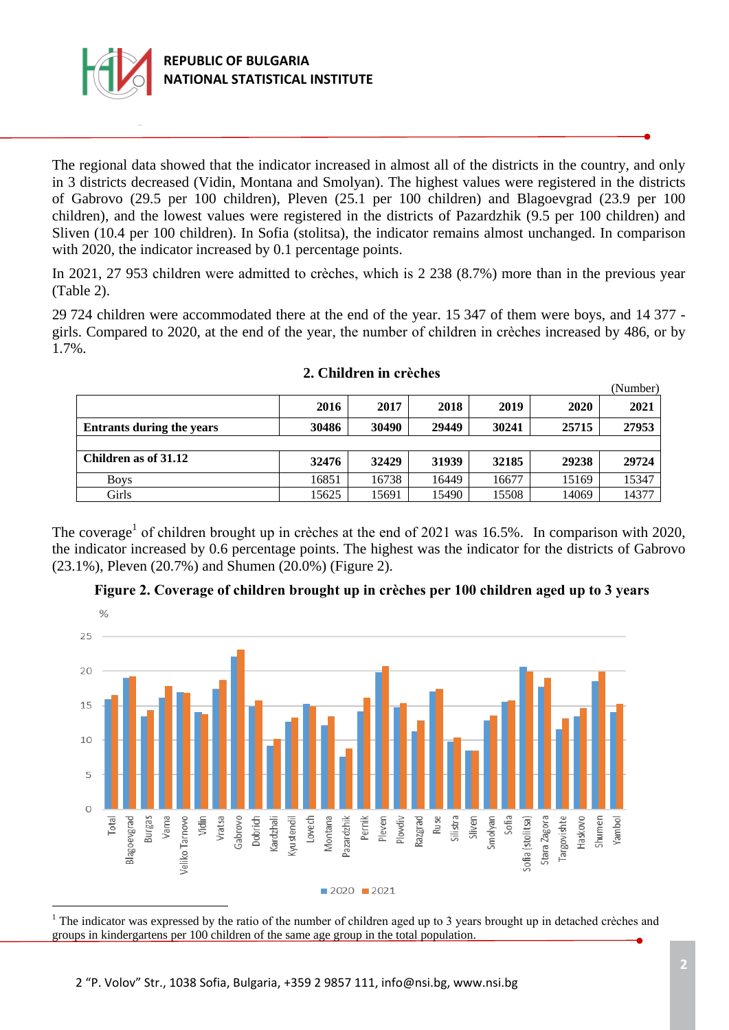

÷.

The regional data showed that the indicator increased in almost all of the districts in the country, and only in 3 districts decreased (Vidin, Montana and Smolyan). The highest values were registered in the districts of Gabrovo (29.5 per 100 children), Pleven (25.1 per 100 children) and Blagoevgrad (23.9 per 100 children), and the lowest values were registered in the districts of Pazardzhik (9.5 per 100 children) and Sliven (10.4 per 100 children). In Sofia (stolitsa), the indicator remains almost unchanged. In comparison with 2020, the indicator increased by 0.1 percentage points.

In 2021, 27 953 children were admitted to crèches, which is 2 238 (8.7%) more than in the previous year (Table 2).

29 724 children were accommodated there at the end of the year. 15 347 of them were boys, and 14 377 girls. Compared to 2020, at the end of the year, the number of children in crèches increased by 486, or by 1.7%.

|                                  |       |       |       |       |       | (Number) |
|----------------------------------|-------|-------|-------|-------|-------|----------|
|                                  | 2016  | 2017  | 2018  | 2019  | 2020  | 2021     |
| <b>Entrants during the years</b> | 30486 | 30490 | 29449 | 30241 | 25715 | 27953    |
|                                  |       |       |       |       |       |          |
| Children as of 31.12             | 32476 | 32429 | 31939 | 32185 | 29238 | 29724    |
| <b>Boys</b>                      | 16851 | 16738 | 16449 | 16677 | 15169 | 15347    |
| Girls                            | 15625 | 15691 | 15490 | 15508 | 14069 | 14377    |

### **2. Children in crèches**

The coverage<sup>1</sup> of children brought up in crèches at the end of 2021 was 16.5%. In comparison with 2020, the indicator increased by 0.6 percentage points. The highest was the indicator for the districts of Gabrovo (23.1%), Pleven (20.7%) and Shumen (20.0%) (Figure 2).



**Figure 2. Coverage of children brought up in crèches per 100 children aged up to 3 years**

<sup>1</sup> The indicator was expressed by the ratio of the number of children aged up to 3 years brought up in detached crèches and groups in kindergartens per 100 children of the same age group in the total population.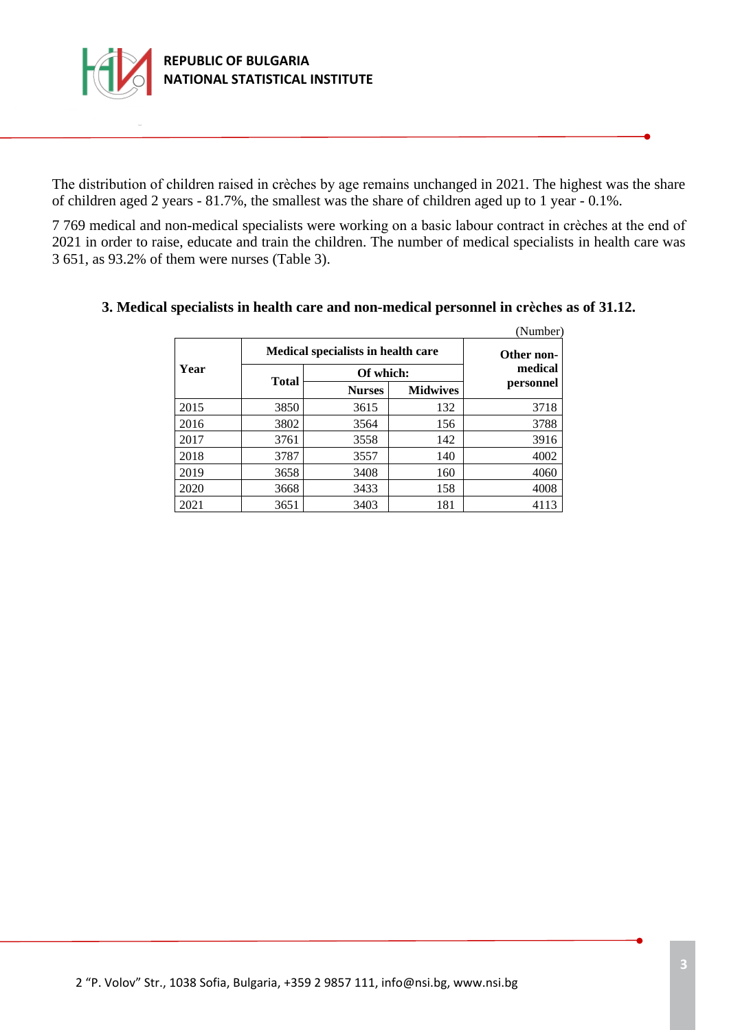

The distribution of children raised in crèches by age remains unchanged in 2021. The highest was the share of children aged 2 years - 81.7%, the smallest was the share of children aged up to 1 year - 0.1%.

7 769 medical and non-medical specialists were working on a basic labour contract in crèches at the end of 2021 in order to raise, educate and train the children. The number of medical specialists in health care was 3 651, as 93.2% of them were nurses (Table 3).

|      |                                    |                       |                 | (Number)  |
|------|------------------------------------|-----------------------|-----------------|-----------|
|      | Medical specialists in health care | Other non-<br>medical |                 |           |
| Year |                                    |                       |                 |           |
|      | Total                              | <b>Nurses</b>         | <b>Midwives</b> | personnel |
| 2015 | 3850                               | 3615                  | 132             | 3718      |
| 2016 | 3802                               | 3564                  | 156             | 3788      |
| 2017 | 3761                               | 3558                  | 142             | 3916      |
| 2018 | 3787                               | 3557                  | 140             | 4002      |
| 2019 | 3658                               | 3408                  | 160             | 4060      |
| 2020 | 3668                               | 3433                  | 158             | 4008      |
| 2021 | 3651                               | 3403                  | 181             | 4113      |

#### **3. Medical specialists in health care and non-medical personnel in crèches as of 31.12.**